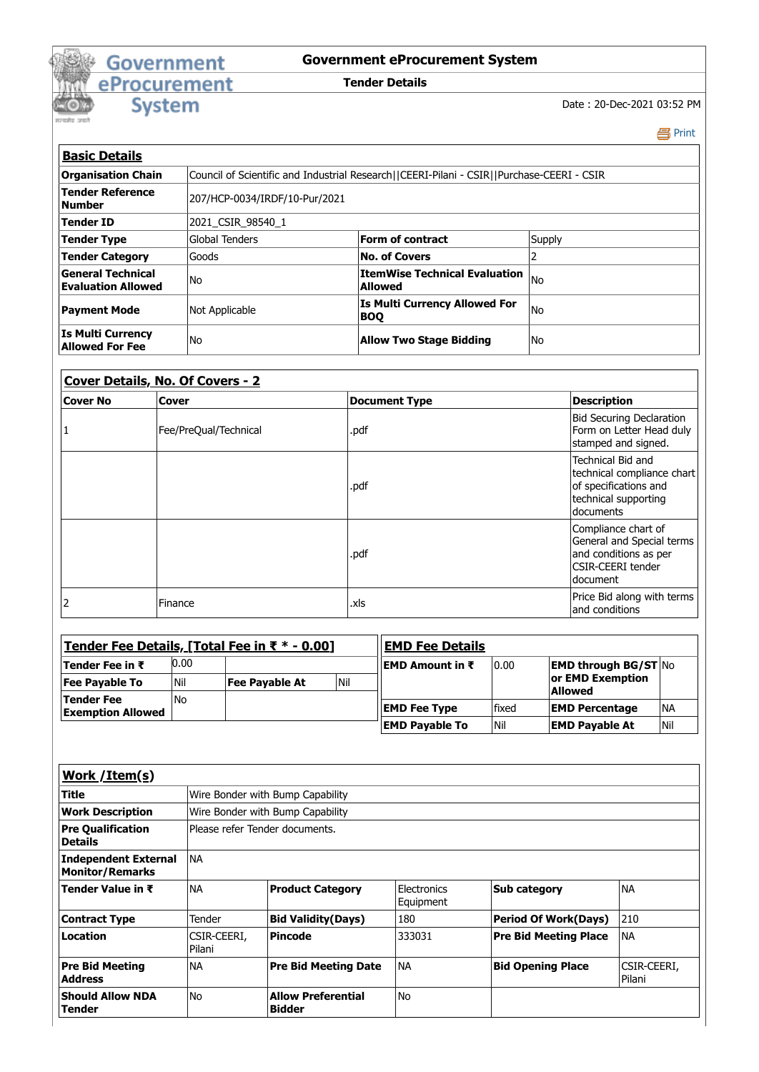

## **Government eProcurement System**

**Tender Details**

Date : 20-Dec-2021 03:52 PM

Print

٦

| <b>Basic Details</b>                                  |                                                                                           |                                                    |        |  |
|-------------------------------------------------------|-------------------------------------------------------------------------------------------|----------------------------------------------------|--------|--|
| <b>Organisation Chain</b>                             | Council of Scientific and Industrial Research  CEERI-Pilani - CSIR  Purchase-CEERI - CSIR |                                                    |        |  |
| <b>Tender Reference</b><br><b>Number</b>              | 207/HCP-0034/IRDF/10-Pur/2021                                                             |                                                    |        |  |
| <b>Tender ID</b>                                      | 2021 CSIR 98540 1                                                                         |                                                    |        |  |
| <b>Tender Type</b>                                    | Global Tenders                                                                            | Form of contract                                   | Supply |  |
| <b>Tender Category</b>                                | Goods                                                                                     | No. of Covers                                      |        |  |
| <b>General Technical</b><br><b>Evaluation Allowed</b> | No                                                                                        | <b>ItemWise Technical Evaluation</b><br>Allowed    | l No   |  |
| <b>Payment Mode</b>                                   | Not Applicable                                                                            | <b>Is Multi Currency Allowed For</b><br><b>BOO</b> | l No   |  |
| <b>Is Multi Currency</b><br>Allowed For Fee           | No                                                                                        | Allow Two Stage Bidding                            | l No   |  |

| Cover Details, No. Of Covers - 2 |                       |                      |                                                                                                                   |
|----------------------------------|-----------------------|----------------------|-------------------------------------------------------------------------------------------------------------------|
| <b>Cover No</b>                  | Cover                 | <b>Document Type</b> | <b>Description</b>                                                                                                |
| 1                                | Fee/PreQual/Technical | .pdf                 | <b>Bid Securing Declaration</b><br>Form on Letter Head duly<br>stamped and signed.                                |
|                                  |                       | .pdf                 | Technical Bid and<br>technical compliance chart<br>of specifications and<br>technical supporting<br>documents     |
|                                  |                       | .pdf                 | Compliance chart of<br>General and Special terms<br>and conditions as per<br><b>CSIR-CEERI tender</b><br>document |
| $\overline{2}$                   | Finance               | .xls                 | Price Bid along with terms<br>and conditions                                                                      |

| <u> Tender Fee Details, [Total Fee in ₹ * - 0.00]</u> |      |                | <b>EMD Fee Details</b> |                         |       |                                    |            |
|-------------------------------------------------------|------|----------------|------------------------|-------------------------|-------|------------------------------------|------------|
| Tender Fee in ₹                                       | 0.00 |                |                        | <b>IEMD Amount in ₹</b> | 10.00 | <b>EMD through BG/ST No</b>        |            |
| <b>Fee Pavable To</b>                                 | Nil  | Fee Pavable At | <b>Nil</b>             |                         |       | or EMD Exemption<br><b>Allowed</b> |            |
| Tender Fee<br><b>Exemption Allowed</b>                | No   |                |                        | <b>EMD Fee Type</b>     | fixed | <b>EMD Percentage</b>              | <b>INA</b> |
|                                                       |      |                |                        | <b>EMD Pavable To</b>   | l Nil | <b>EMD Payable At</b>              | Nil        |

| Work / Item(s)                                        |                                  |                                            |                          |                              |                        |  |
|-------------------------------------------------------|----------------------------------|--------------------------------------------|--------------------------|------------------------------|------------------------|--|
| <b>Title</b>                                          | Wire Bonder with Bump Capability |                                            |                          |                              |                        |  |
| <b>Work Description</b>                               |                                  | Wire Bonder with Bump Capability           |                          |                              |                        |  |
| <b>Pre Qualification</b><br><b>Details</b>            |                                  | Please refer Tender documents.             |                          |                              |                        |  |
| <b>Independent External</b><br><b>Monitor/Remarks</b> | <b>NA</b>                        |                                            |                          |                              |                        |  |
| Tender Value in ₹                                     | <b>NA</b>                        | <b>Product Category</b>                    | Electronics<br>Equipment | <b>Sub category</b>          | <b>NA</b>              |  |
| <b>Contract Type</b>                                  | Tender                           | <b>Bid Validity (Days)</b>                 | 180                      | <b>Period Of Work(Days)</b>  | 210                    |  |
| Location                                              | CSIR-CEERI,<br>Pilani            | <b>Pincode</b>                             | 333031                   | <b>Pre Bid Meeting Place</b> | <b>NA</b>              |  |
| <b>Pre Bid Meeting</b><br><b>Address</b>              | <b>NA</b>                        | <b>Pre Bid Meeting Date</b>                | INA                      | <b>Bid Opening Place</b>     | ICSIR-CEERI,<br>Pilani |  |
| <b>Should Allow NDA</b><br><b>Tender</b>              | <b>No</b>                        | <b>Allow Preferential</b><br><b>Bidder</b> | No                       |                              |                        |  |